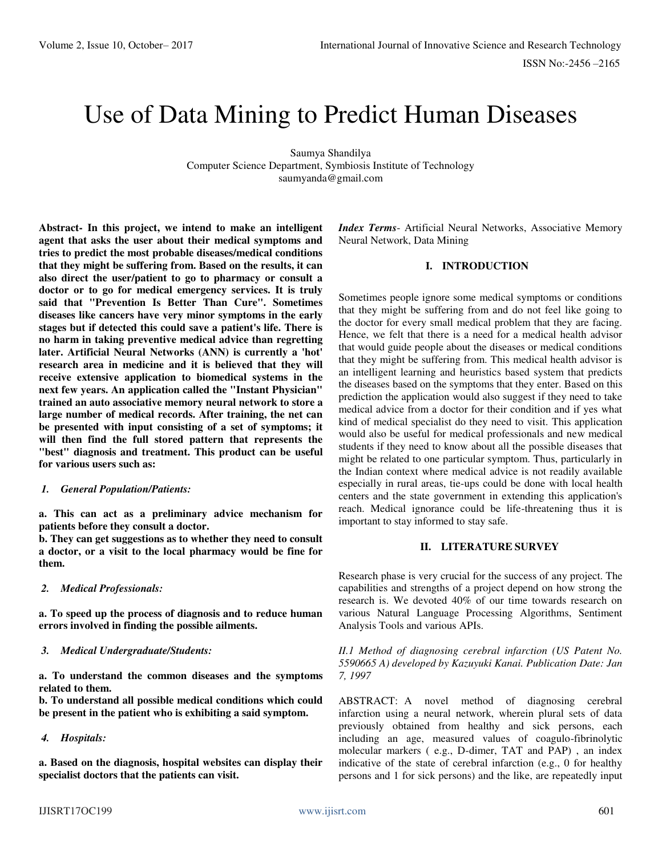# Use of Data Mining to Predict Human Diseases

Saumya Shandilya Computer Science Department, Symbiosis Institute of Technology saumyanda@gmail.com

**Abstract- In this project, we intend to make an intelligent agent that asks the user about their medical symptoms and tries to predict the most probable diseases/medical conditions that they might be suffering from. Based on the results, it can also direct the user/patient to go to pharmacy or consult a doctor or to go for medical emergency services. It is truly said that "Prevention Is Better Than Cure". Sometimes diseases like cancers have very minor symptoms in the early stages but if detected this could save a patient's life. There is no harm in taking preventive medical advice than regretting later. Artificial Neural Networks (ANN) is currently a 'hot' research area in medicine and it is believed that they will receive extensive application to biomedical systems in the next few years. An application called the "Instant Physician" trained an auto associative memory neural network to store a large number of medical records. After training, the net can be presented with input consisting of a set of symptoms; it will then find the full stored pattern that represents the "best" diagnosis and treatment. This product can be useful for various users such as:**

#### *1. General Population/Patients:*

**a. This can act as a preliminary advice mechanism for patients before they consult a doctor.** 

**b. They can get suggestions as to whether they need to consult a doctor, or a visit to the local pharmacy would be fine for them.** 

#### *2. Medical Professionals:*

**a. To speed up the process of diagnosis and to reduce human errors involved in finding the possible ailments.** 

# *3. Medical Undergraduate/Students:*

**a. To understand the common diseases and the symptoms related to them.** 

**b. To understand all possible medical conditions which could be present in the patient who is exhibiting a said symptom.** 

*4. Hospitals:* 

**a. Based on the diagnosis, hospital websites can display their specialist doctors that the patients can visit.** 

*Index Terms*- Artificial Neural Networks, Associative Memory Neural Network, Data Mining

### **I. INTRODUCTION**

Sometimes people ignore some medical symptoms or conditions that they might be suffering from and do not feel like going to the doctor for every small medical problem that they are facing. Hence, we felt that there is a need for a medical health advisor that would guide people about the diseases or medical conditions that they might be suffering from. This medical health advisor is an intelligent learning and heuristics based system that predicts the diseases based on the symptoms that they enter. Based on this prediction the application would also suggest if they need to take medical advice from a doctor for their condition and if yes what kind of medical specialist do they need to visit. This application would also be useful for medical professionals and new medical students if they need to know about all the possible diseases that might be related to one particular symptom. Thus, particularly in the Indian context where medical advice is not readily available especially in rural areas, tie-ups could be done with local health centers and the state government in extending this application's reach. Medical ignorance could be life-threatening thus it is important to stay informed to stay safe.

# **II. LITERATURE SURVEY**

Research phase is very crucial for the success of any project. The capabilities and strengths of a project depend on how strong the research is. We devoted 40% of our time towards research on various Natural Language Processing Algorithms, Sentiment Analysis Tools and various APIs.

*II.1 Method of diagnosing cerebral infarction (US Patent No. 5590665 A) developed by Kazuyuki Kanai. Publication Date: Jan 7, 1997* 

ABSTRACT: A novel method of diagnosing cerebral infarction using a neural network, wherein plural sets of data previously obtained from healthy and sick persons, each including an age, measured values of coagulo-fibrinolytic molecular markers ( e.g., D-dimer, TAT and PAP) , an index indicative of the state of cerebral infarction (e.g., 0 for healthy persons and 1 for sick persons) and the like, are repeatedly input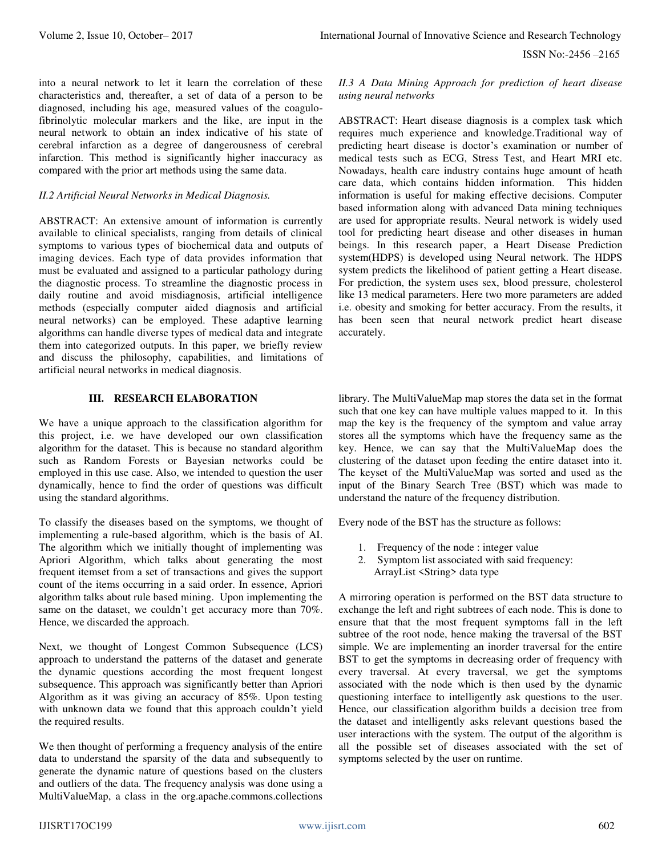into a neural network to let it learn the correlation of these characteristics and, thereafter, a set of data of a person to be diagnosed, including his age, measured values of the coagulofibrinolytic molecular markers and the like, are input in the neural network to obtain an index indicative of his state of cerebral infarction as a degree of dangerousness of cerebral infarction. This method is significantly higher inaccuracy as compared with the prior art methods using the same data.

#### *II.2 Artificial Neural Networks in Medical Diagnosis.*

ABSTRACT: An extensive amount of information is currently available to clinical specialists, ranging from details of clinical symptoms to various types of biochemical data and outputs of imaging devices. Each type of data provides information that must be evaluated and assigned to a particular pathology during the diagnostic process. To streamline the diagnostic process in daily routine and avoid misdiagnosis, artificial intelligence methods (especially computer aided diagnosis and artificial neural networks) can be employed. These adaptive learning algorithms can handle diverse types of medical data and integrate them into categorized outputs. In this paper, we briefly review and discuss the philosophy, capabilities, and limitations of artificial neural networks in medical diagnosis.

#### **III. RESEARCH ELABORATION**

We have a unique approach to the classification algorithm for this project, i.e. we have developed our own classification algorithm for the dataset. This is because no standard algorithm such as Random Forests or Bayesian networks could be employed in this use case. Also, we intended to question the user dynamically, hence to find the order of questions was difficult using the standard algorithms.

To classify the diseases based on the symptoms, we thought of implementing a rule-based algorithm, which is the basis of AI. The algorithm which we initially thought of implementing was Apriori Algorithm, which talks about generating the most frequent itemset from a set of transactions and gives the support count of the items occurring in a said order. In essence, Apriori algorithm talks about rule based mining. Upon implementing the same on the dataset, we couldn't get accuracy more than 70%. Hence, we discarded the approach.

Next, we thought of Longest Common Subsequence (LCS) approach to understand the patterns of the dataset and generate the dynamic questions according the most frequent longest subsequence. This approach was significantly better than Apriori Algorithm as it was giving an accuracy of 85%. Upon testing with unknown data we found that this approach couldn't yield the required results.

We then thought of performing a frequency analysis of the entire data to understand the sparsity of the data and subsequently to generate the dynamic nature of questions based on the clusters and outliers of the data. The frequency analysis was done using a MultiValueMap, a class in the org.apache.commons.collections *II.3 A Data Mining Approach for prediction of heart disease using neural networks* 

ABSTRACT: Heart disease diagnosis is a complex task which requires much experience and knowledge.Traditional way of predicting heart disease is doctor's examination or number of medical tests such as ECG, Stress Test, and Heart MRI etc. Nowadays, health care industry contains huge amount of heath care data, which contains hidden information. This hidden information is useful for making effective decisions. Computer based information along with advanced Data mining techniques are used for appropriate results. Neural network is widely used tool for predicting heart disease and other diseases in human beings. In this research paper, a Heart Disease Prediction system(HDPS) is developed using Neural network. The HDPS system predicts the likelihood of patient getting a Heart disease. For prediction, the system uses sex, blood pressure, cholesterol like 13 medical parameters. Here two more parameters are added i.e. obesity and smoking for better accuracy. From the results, it has been seen that neural network predict heart disease accurately.

library. The MultiValueMap map stores the data set in the format such that one key can have multiple values mapped to it. In this map the key is the frequency of the symptom and value array stores all the symptoms which have the frequency same as the key. Hence, we can say that the MultiValueMap does the clustering of the dataset upon feeding the entire dataset into it. The keyset of the MultiValueMap was sorted and used as the input of the Binary Search Tree (BST) which was made to understand the nature of the frequency distribution.

Every node of the BST has the structure as follows:

- 1. Frequency of the node : integer value
- 2. Symptom list associated with said frequency: ArrayList <String> data type

A mirroring operation is performed on the BST data structure to exchange the left and right subtrees of each node. This is done to ensure that that the most frequent symptoms fall in the left subtree of the root node, hence making the traversal of the BST simple. We are implementing an inorder traversal for the entire BST to get the symptoms in decreasing order of frequency with every traversal. At every traversal, we get the symptoms associated with the node which is then used by the dynamic questioning interface to intelligently ask questions to the user. Hence, our classification algorithm builds a decision tree from the dataset and intelligently asks relevant questions based the user interactions with the system. The output of the algorithm is all the possible set of diseases associated with the set of symptoms selected by the user on runtime.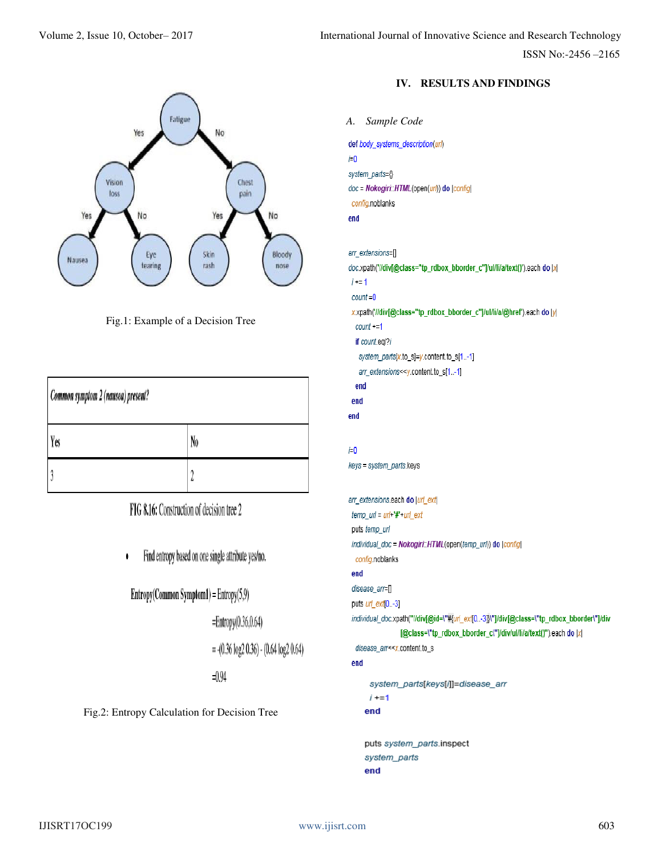

Fig.1: Example of a Decision Tree

| Common symptom 2 (nausea) present? |    |
|------------------------------------|----|
| Yes                                | No |
|                                    |    |

FIG 8.16: Construction of decision tree 2

Find entropy based on one single attribute yes/no.  $\bullet$ 

 $Entropy(Common Symbol) = Entropy(5,9)$ 

 $=$ Entropy $(0.36, 0.64)$ 

 $= -(0.36 \log 2 0.36) - (0.64 \log 2 0.64)$ 

 $=0.94$ 

Fig.2: Entropy Calculation for Decision Tree

# **IV. RESULTS AND FINDINGS**

```
A. Sample Code def body_systems_description(url)
i=0system_parts={}
doc = Nokogiri::HTML(open(url)) do |config|
 config.noblanks
end
arr_extensions=[]
doc.xpath('//div[@class="tp_rdbox_bborder_c"]/ul/li/a/text()').each do |x|
 i \neq 1count = 0x.xpath('//div[@class="tp_rdbox_bborder_c"]/ul/li/a/@href').each do |y|
  count += 1if count.eql?i
   system_parts[x.to_s]=y.content.to_s[1..-1]
   arr_extensions<<y.content.to_s[1..-1]
  end
 end
end
i=0keys = system_parts.keys
arr_extensions.each do |url_ext
 temp\_url = url + # + url\_extputs temp_url
 individual_doc = Nokogiri: HTML(open(temp_url)) do |config|
  config.noblanks
 end
 disease_arr=[]
 puts url_ext[0..-3]
 individual_doc.xpath("//div[@id=\"#{url_ext[0 ..-3]}\"]/div[@class=\"tp_rdbox_bborder\"]/div
                 [@class=\"tp_rdbox_bborder_c\"]/div/ul/li/a/text()").each do |x|
  disease_arr<<x.content.to_s
 end
       system_parts[keys[i]]=disease_arr
       i + = 1end
      puts system_parts.inspect
      system_parts
```
end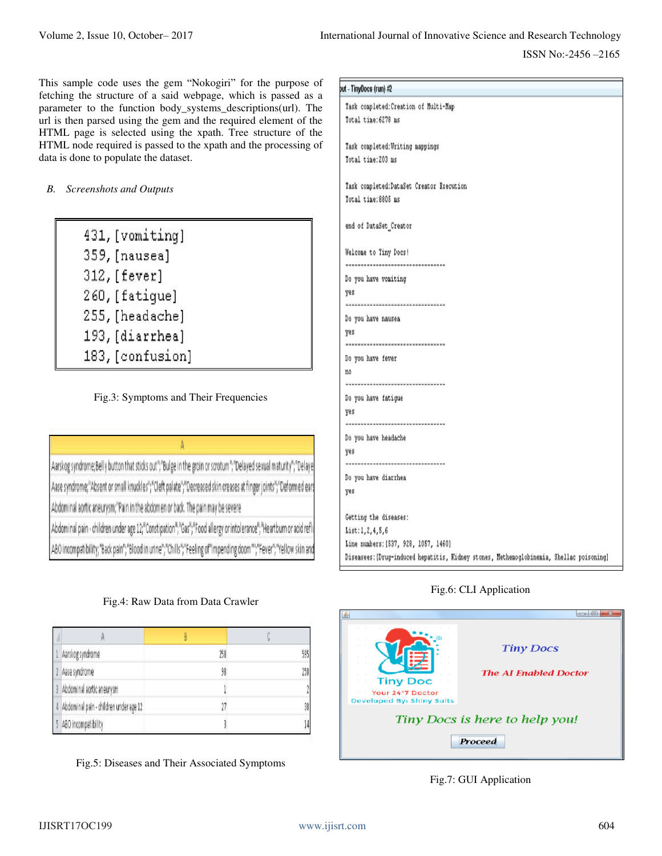This sample code uses the gem "Nokogiri" for the purpose of fetching the structure of a said webpage, which is passed as a parameter to the function body\_systems\_descriptions(url). The url is then parsed using the gem and the required element of the HTML page is selected using the xpath. Tree structure of the HTML node required is passed to the xpath and the processing of data is done to populate the dataset.

*B. Screenshots and Outputs* 

- 431, [vomiting]
- 359, [nausea]
- 312, [fever]
- 260, [fatique]
- 255, [headache]
- 193, [diarrhea]
- 183, [confusion]

Fig.3: Symptoms and Their Frequencies

Aarskog syndrome; Belly button that sticks out"; "Bulge in the groin or scrotum"; "Delayed sexual maturity"; "Delaye Aase syndrome;"Absent or small knuckles";"Cleft palate";"Decreased skin creases at finger joints";"Deformed ears Abdominal aortic aneurysm;"Pain in the abdomen or back. The pain may be severe

Abdominal pain - children under age 12;"Constipation";"Gas";"Food allergy or intolerance";"Heartburn or acid ref ABO incompatibility;"Back pain";"Blood in urine";"Chills";"Feeling of"impending doom"";"Fever";"Yellow skin and

# Fig.4: Raw Data from Data Crawler

|            | Aarskog syndrome                       | 258 | 595 |
|------------|----------------------------------------|-----|-----|
|            | Aase syndrome                          | 98  | 258 |
|            | Abdominal aortic aneurysm              |     | ĵ   |
| $\sqrt{1}$ | Abdominal pain - children under age 12 | 17  | 38  |
|            | ABO incompatibility                    |     | 14  |

Fig.5: Diseases and Their Associated Symptoms

| out - TinyDocs (run) #2                                                                  |  |
|------------------------------------------------------------------------------------------|--|
| Task completed: Creation of Multi-Map                                                    |  |
| Total time: 6278 ms                                                                      |  |
|                                                                                          |  |
| Task completed: Writing mappings                                                         |  |
| Total time: 203 ms                                                                       |  |
|                                                                                          |  |
| Task completed: DataSet Creator Execution                                                |  |
| Total time: 8805 ms                                                                      |  |
|                                                                                          |  |
| end of DataSet_Creator                                                                   |  |
|                                                                                          |  |
| Welcome to Tiny Docs!                                                                    |  |
| ----------------------------------                                                       |  |
| Do you have vomiting                                                                     |  |
| yes                                                                                      |  |
| -----------------------------------                                                      |  |
| Do you have nausea                                                                       |  |
| yes                                                                                      |  |
| ----------------------------------                                                       |  |
| Do you have fever                                                                        |  |
| nō                                                                                       |  |
| -----------------------------------                                                      |  |
| Do you have fatigue                                                                      |  |
| yes                                                                                      |  |
| -----------------------------------                                                      |  |
| Do you have headache                                                                     |  |
| yes                                                                                      |  |
|                                                                                          |  |
| Do you have diarrhea                                                                     |  |
| yes                                                                                      |  |
|                                                                                          |  |
| Getting the diseases:<br>List:1, 2, 4, 5, 6                                              |  |
| Line numbers: [537, 928, 1057, 1460]                                                     |  |
| Diseasees: [Drug-induced hepatitis, Kidney stones, Methemoglobinemia, Shellac poisoning] |  |
|                                                                                          |  |

# Fig.6: CLI Application



# Fig.7: GUI Application